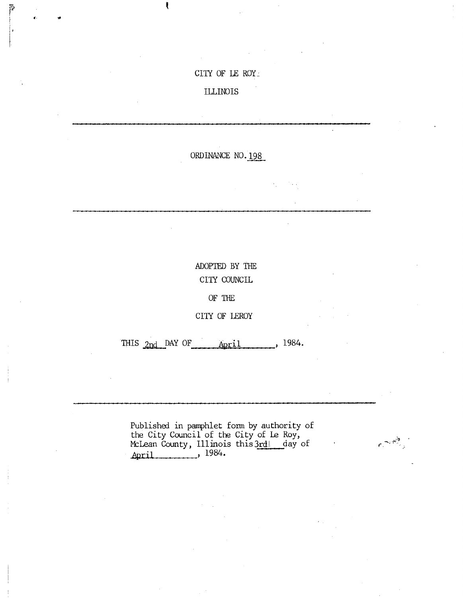## CITY OF LE ROY-

## ILLINOIS

ŧ

r. a'

P

ORDINANCE NO.198

ADOPTED BY THE CITY COUNCIL

OF THE

CITY OF LEROY

THIS  $2nd$  DAY OF  $April$ , 1984.

Published in pamphlet form by authority of the City Council of the City of Le Roy, McLean County, Illinois this3rdl day of April , 1984.

 $\epsilon = \frac{1}{2}$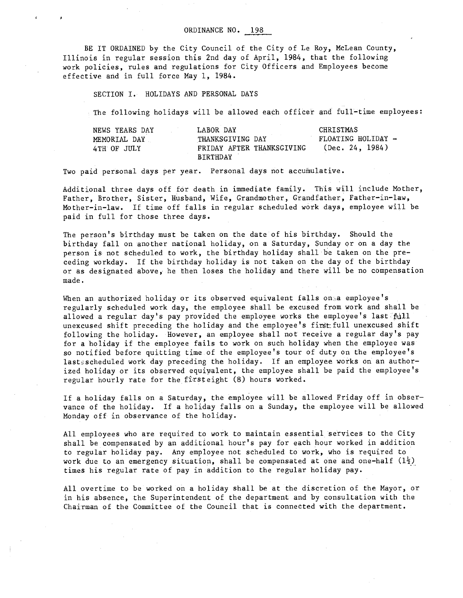BE IT ORDAINED by the City Council of the City of Le Roy, McLean County, Illinois in regular session this 2nd day of April, 1984, that the following work policies, rules and regulations for City Officers and Employees become effective and in full force May 1, 1984.

SECTION I. HOLIDAYS AND PERSONAL DAYS

The following holidays will be allowed each officer and full-time employees:

| NEWS YEARS DAY | LABOR DAY                 | CHRISTMAS          |
|----------------|---------------------------|--------------------|
| MEMORIAL DAY   | THANKSGIVING DAY          | FLOATING HOLIDAY - |
| 4TH OF JULY    | FRIDAY AFTER THANKSGIVING | (Dec. 24, 1984)    |
|                | <b>BIRTHDAY</b>           |                    |

Two paid personal days per year. Personal days not accumulative.

Additional three days off for death in immediate family. This will include Mother, Father, Brother, Sister, Husband, Wife, Grandmother, Grandfather, Father-in-law, Mother-in-law. If time off falls in regular scheduled work days, employee will be paid in full for those three days.

The person's birthday must be taken on the date of his birthday. Should the birthday fall on another national holiday, on a Saturday, Sunday or on a day the person is not scheduled to work, the birthday holiday shall be taken on the preceding workday. If the birthday holiday is not taken on the day of the birthday or as designated above, he then loses the holiday and there will be no compensation made.

When an authorized holiday or its observed equivalent falls on. a employee's regularly scheduled work day, the employee shall be excused from work and shall be allowed a regular day's pay provided the employee works the employee's last  $\mathbb{R}$ unexcused shift preceding the holiday and the employee's first full unexcused shift following the holiday. However, an employee shall not receive a regular day's pay for a holiday if the employee fails to work on such holiday when the employee was so notified before quitting time of the employee's tour of duty on the employee's lasts scheduled work day preceding the holiday. If an employee works on an authorized holiday or its observed equivalent, the employee shall be paid the employee's regular hourly rate for the firsteight (8) hours worked.

If a holiday falls on a Saturday, the employee will be allowed Friday off in observance of the holiday. If a holiday falls on a Sunday, the employee will be allowed Monday off in observance of the holiday.

All employees who are required to work to maintain essential services to the City shall be compensated by an additional hour's pay for each hour worked in addition to regular holiday pay. Any employee not scheduled to work, who is required to work due to an emergency situation, shall be compensated at one and one-half  $(1\frac{1}{2})$ times his regular rate of pay in addition to the regular holiday pay.

All overtime to be worked on a holiday shall be at the discretion of the Mayor, or in his absence, the Superintendent of the department and by consultation with the Chairman of the Committee of the Council that is connected with the department.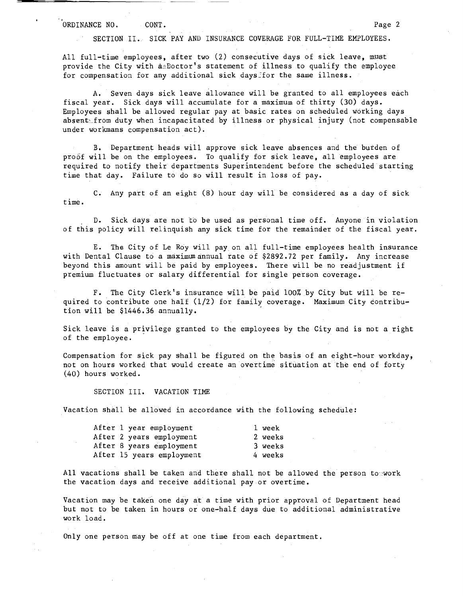SECTION II. SICK PAY AND INSURANCE COVERAGE FOR FULL-TIME EMPLOYEES.

All full-time employees, after two (2) consecutive days of sick leave, must provide the City with  $a_0Boctor$ 's statement of illness to qualify the employee for compensation for any additional sick days for the same illness.

A. Seven days sick leave allowance will be granted to all employees each fiscal year. Sick days will accumulate for a maximum of thirty (30) days. Employees shall be allowed regular pay at basic rates on scheduled working days absent from duty when incapacitated by illness or physical injury (not compensable under workmans compensation act).

B. Department heads will approve sick leave absences and the burden of proof will be on the employees. To qualify for sick leave, all employees are required to notify their departments Superintendent before the scheduled starting time that day. Failure to do so will result in loss of pay.

C. Any part of an eight (8) hour day will be considered as a day of sick time.

D. Sick days are not to be used as personal time off. Anyone in violation of this policy will relinquish any sick time for the remainder of the fiscal year.

E. The City of Le Roy will pay. on all full-time employees health insurance with Dental Clause to a maximum annual rate of \$2892.72 per family. Any increase beyond this amount will be paid by employees. There will be no readjustment if premium fluctuates or salary differential for single person coverage.

F. The City Clerk's insurance will be paid 100% by City but will be required to contribute one half (1/2) for family coverage. Maximum City Contribution will be \$1446.36 annually.

Sick leave is a privilege granted to the employees by the City and is not a right of the employee.

Compensation for sick pay shall be figured on the basis of an eight-hour workday, not on hours worked that would create an overtime situation at the end of forty (40) hours worked.

SECTION III. VACATION TIME

Vacation shall be allowed in accordance with the following schedule:

| After 1 year employment   | l week  |
|---------------------------|---------|
| After 2 years employment  | 2 weeks |
| After 8 years employment  | 3 weeks |
| After 15 years employment | 4 weeks |

All vacations shall be taken and there shall not be allowed the person to work the vacation days and receive additional pay or overtime.

Vacation may be taken one day at a time with prior approval of Department head but not to be taken in hours or one-half days due to additional administrative work load.

Only one person may be off at one time from each department.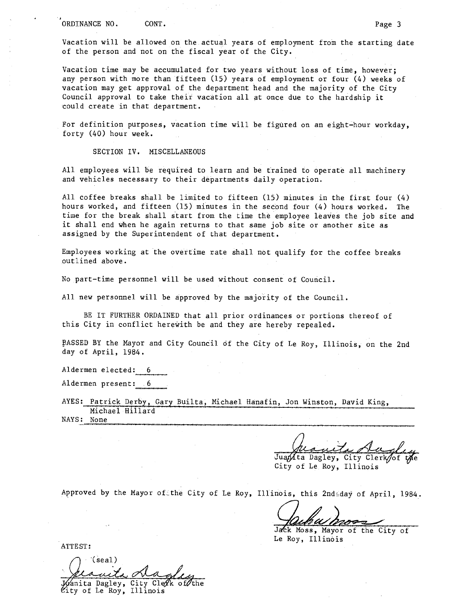Vacation will be allowed on the.actual years of employment from the starting date of the person and not on the fiscal year of the City.

Vacation time may be accumulated for two years without loss of time, however; any person with more than fifteen (15) years of employment or four (4) weeks of vacation may get approval of the department head and the majority of the City Council approval to take their vacation all at once due to the hardship it could create in that department.

For definition purposes, vacation time will be figured on an eight-hour workday, forty (40) hour week.

SECTION IV. MISCELLANEOUS

All employees will be required to learn and be trained to operate all machinery and vehicles necessary to their departments daily operation.

All coffee breaks shall be limited to fifteen (15) minutes in the first four (4) hours worked, and fifteen (15) minutes in the second four (4) hours worked. The time for the break shall start from the time the employee leaves the job site and it shall end when he again returns to that same job site or another site as assigned by the Superintendent of that department.

Employees working at the overtime rate shall not qualify for the coffee breaks outlined above.

No part-time personnel will be used without consent of Council.

All new personnel will be approved by the majority of the Council.

BE IT FURTHER ORDAINED that all prior ordinances or portions thereof of this City in conflict herewith be and they are hereby repealed.

PASSED BY the Mayor and City Council of the City of Le Roy, Illinois, on the 2nd day of April, 1984.

Aldermen elected: 6

Aldermen present: .6

AYES: Patrick Derby, Gary Builta, Michael Hanafin, Jon Winston, David King, Michael Hillard NAYS: None

Sugle

Jua $\mu$ ta Dagley, City Clerk $\!\!\mathscr{A}$ of t $\!\!\mathscr{M}$ e City of Le Roy, Illinois

Approved by the Mayor of the City of Le Roy, Illinois, this 2nd day of April, 1984.

Jack Moss, Mayor of the City of Le Roy, Illinois

ATTEST:

(seal)  $\%$ nita Dagley, City Cle $\rlap{/}$ k of $\rlap{/}$ 

 $\mathscr{C}\mathbf{ity}$  of Le Roy, Illinois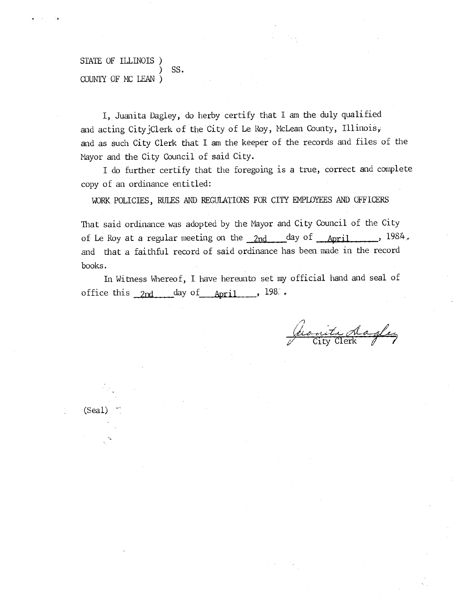## STATE OF ILLINOIS ) SS. COUNTY OF MC LEAN )

I, Juanita Dagley, do herby certify that I am the duly qualified and acting City Clerk of the City of Le Roy, McLean County, Illinois; and as such City Clerk that I am the keeper of the records and files of the Mayor and the City Council of said City.

I do further certify that the foregoing is a true, correct and complete copy of an ordinance entitled:

WORK POLICIES, RULES AND REGULATIONS FOR CITY EMPLOYEES AND OFFICERS

That said ordinance was adopted by the Mayor and City Council of the City of Le Roy at a regular meeting on the  $2nd$  day of  $\Delta_{\text{bpril}}$ , 1984, and that a faithful record of said ordinance has been.made in the record books.

In Witness Whereof, I have hereunto set my official hand and seal of office this  $_{2nd}$  day of  $_{\text{April}}$ , 198:

(heavite dagler

(Seal)